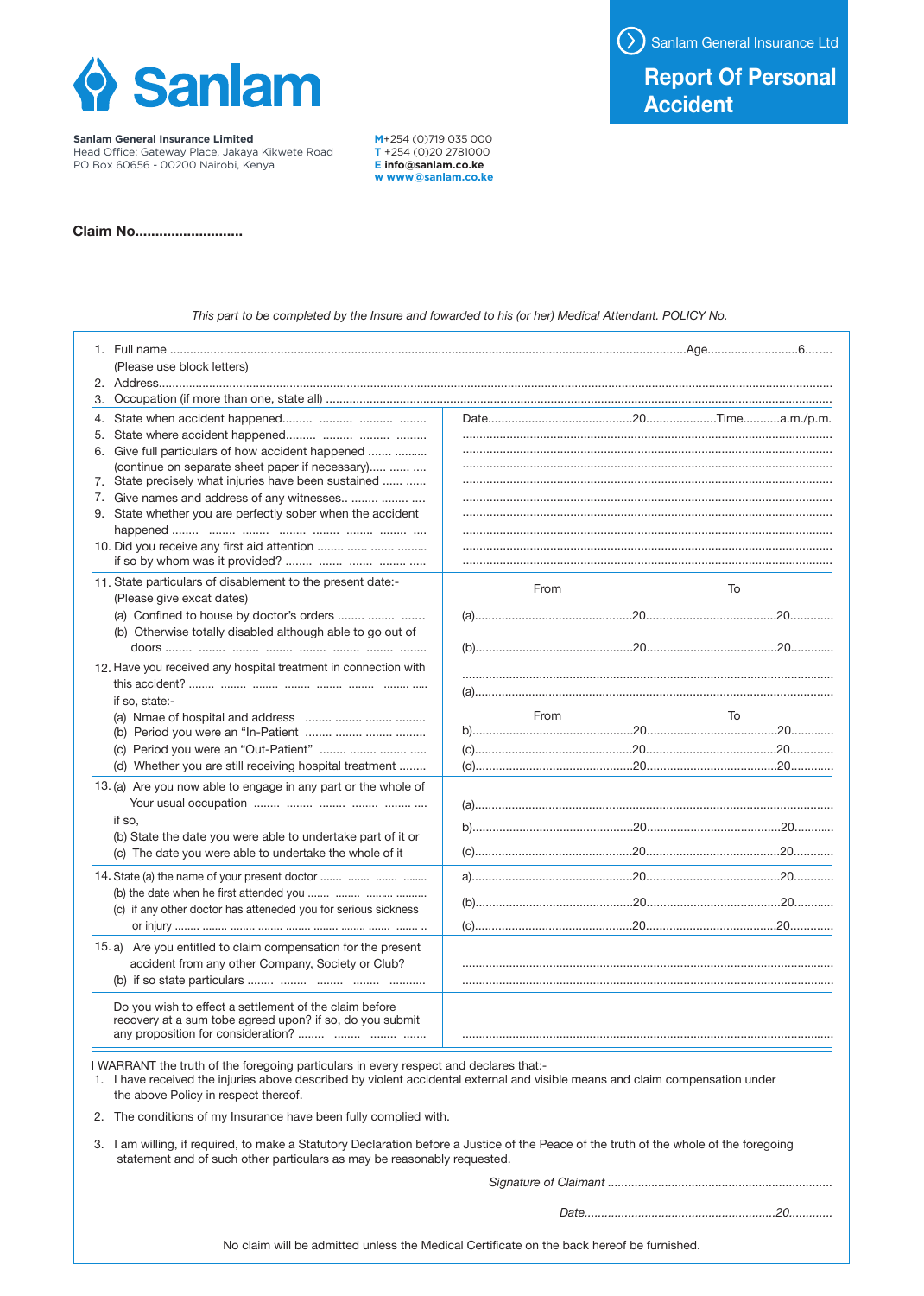

**Sanlam General Insurance Limited**

Head Oce: Gateway Place, Jakaya Kikwete Road PO Box 60656 - 00200 Nairobi, Kenya

**M**+254 (0)719 035 000 **T** +254 (0)20 2781000 **E info@sanlam.co.ke w www@sanlam.co.ke**

**Claim No...........................**

*This part to be completed by the Insure and fowarded to his (or her) Medical Attendant. POLICY No.* 

|    | (Please use block letters)                                                                                                                                                                                                                                                                                                         |  |      |    |  |  |  |
|----|------------------------------------------------------------------------------------------------------------------------------------------------------------------------------------------------------------------------------------------------------------------------------------------------------------------------------------|--|------|----|--|--|--|
|    |                                                                                                                                                                                                                                                                                                                                    |  |      |    |  |  |  |
| 3. |                                                                                                                                                                                                                                                                                                                                    |  |      |    |  |  |  |
| 5. |                                                                                                                                                                                                                                                                                                                                    |  |      |    |  |  |  |
|    | 6. Give full particulars of how accident happened                                                                                                                                                                                                                                                                                  |  |      |    |  |  |  |
|    | (continue on separate sheet paper if necessary)<br>7. State precisely what injuries have been sustained                                                                                                                                                                                                                            |  |      |    |  |  |  |
|    | 7. Give names and address of any witnesses                                                                                                                                                                                                                                                                                         |  |      |    |  |  |  |
|    | 9. State whether you are perfectly sober when the accident                                                                                                                                                                                                                                                                         |  |      |    |  |  |  |
|    | 10. Did you receive any first aid attention                                                                                                                                                                                                                                                                                        |  |      |    |  |  |  |
|    | 11. State particulars of disablement to the present date:-<br>(Please give excat dates)                                                                                                                                                                                                                                            |  | From | To |  |  |  |
|    | (a) Confined to house by doctor's orders                                                                                                                                                                                                                                                                                           |  |      |    |  |  |  |
|    | (b) Otherwise totally disabled although able to go out of                                                                                                                                                                                                                                                                          |  |      |    |  |  |  |
|    | 12. Have you received any hospital treatment in connection with                                                                                                                                                                                                                                                                    |  |      |    |  |  |  |
|    |                                                                                                                                                                                                                                                                                                                                    |  |      |    |  |  |  |
|    | if so, state:-                                                                                                                                                                                                                                                                                                                     |  | From | To |  |  |  |
|    | (b) Period you were an "In-Patient                                                                                                                                                                                                                                                                                                 |  |      |    |  |  |  |
|    | (c) Period you were an "Out-Patient"                                                                                                                                                                                                                                                                                               |  |      |    |  |  |  |
|    | (d) Whether you are still receiving hospital treatment                                                                                                                                                                                                                                                                             |  |      |    |  |  |  |
|    | 13. (a) Are you now able to engage in any part or the whole of                                                                                                                                                                                                                                                                     |  |      |    |  |  |  |
|    |                                                                                                                                                                                                                                                                                                                                    |  |      |    |  |  |  |
|    | if so,                                                                                                                                                                                                                                                                                                                             |  |      |    |  |  |  |
|    | (b) State the date you were able to undertake part of it or<br>(c) The date you were able to undertake the whole of it                                                                                                                                                                                                             |  |      |    |  |  |  |
|    |                                                                                                                                                                                                                                                                                                                                    |  |      |    |  |  |  |
|    | 14. State (a) the name of your present doctor<br>(b) the date when he first attended you                                                                                                                                                                                                                                           |  |      |    |  |  |  |
|    | (c) if any other doctor has atteneded you for serious sickness                                                                                                                                                                                                                                                                     |  |      |    |  |  |  |
|    |                                                                                                                                                                                                                                                                                                                                    |  |      |    |  |  |  |
|    | 15. a) Are you entitled to claim compensation for the present                                                                                                                                                                                                                                                                      |  |      |    |  |  |  |
|    | accident from any other Company, Society or Club?                                                                                                                                                                                                                                                                                  |  |      |    |  |  |  |
|    |                                                                                                                                                                                                                                                                                                                                    |  |      |    |  |  |  |
|    | Do you wish to effect a settlement of the claim before<br>recovery at a sum tobe agreed upon? if so, do you submit<br>any proposition for consideration?                                                                                                                                                                           |  |      |    |  |  |  |
|    | I WARRANT the truth of the foregoing particulars in every respect and declares that:-<br>1. I have received the injuries above described by violent accidental external and visible means and claim compensation under<br>the above Policy in respect thereof.<br>2. The conditions of my Insurance have been fully complied with. |  |      |    |  |  |  |
|    |                                                                                                                                                                                                                                                                                                                                    |  |      |    |  |  |  |

3. I am willing, if required, to make a Statutory Declaration before a Justice of the Peace of the truth of the whole of the foregoing statement and of such other particulars as may be reasonably requested.

*Signature of Claimant ...................................................................*

*Date.........................................................20.............*

Sanlam General Insurance Ltd

## **Report Of Personal Accident**

No claim will be admitted unless the Medical Certificate on the back hereof be furnished.